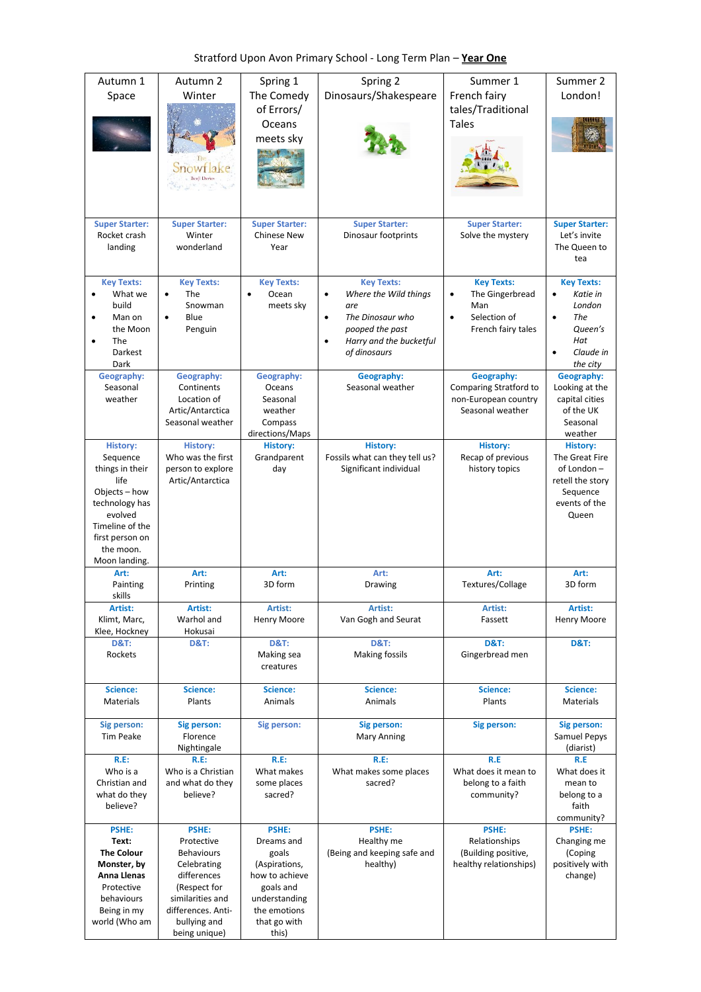|  | Stratford Upon Avon Primary School - Long Term Plan - Year One |  |
|--|----------------------------------------------------------------|--|
|--|----------------------------------------------------------------|--|

| Autumn 1<br>Space                                                                                                                                                        | Autumn 2<br>Winter<br>Snowflake<br>Benji Davies                                                                                                                   | Spring 1<br>The Comedy<br>of Errors/<br>Oceans<br>meets sky                                                                            | Spring 2<br>Dinosaurs/Shakespeare                                                                                                                                          | Summer 1<br>French fairy<br>tales/Traditional<br><b>Tales</b>                                  | Summer 2<br>London!                                                                                                 |
|--------------------------------------------------------------------------------------------------------------------------------------------------------------------------|-------------------------------------------------------------------------------------------------------------------------------------------------------------------|----------------------------------------------------------------------------------------------------------------------------------------|----------------------------------------------------------------------------------------------------------------------------------------------------------------------------|------------------------------------------------------------------------------------------------|---------------------------------------------------------------------------------------------------------------------|
| <b>Super Starter:</b><br>Rocket crash<br>landing                                                                                                                         | <b>Super Starter:</b><br>Winter<br>wonderland                                                                                                                     | <b>Super Starter:</b><br><b>Chinese New</b><br>Year                                                                                    | <b>Super Starter:</b><br>Dinosaur footprints                                                                                                                               | <b>Super Starter:</b><br>Solve the mystery                                                     | <b>Super Starter:</b><br>Let's invite<br>The Queen to<br>tea                                                        |
| <b>Key Texts:</b><br>What we<br>$\bullet$<br>build<br>Man on<br>the Moon<br><b>The</b><br>Darkest<br>Dark                                                                | <b>Key Texts:</b><br><b>The</b><br>$\bullet$<br>Snowman<br>Blue<br>Penguin                                                                                        | <b>Key Texts:</b><br>Ocean<br>$\bullet$<br>meets sky                                                                                   | <b>Key Texts:</b><br>Where the Wild things<br>$\bullet$<br>are<br>The Dinosaur who<br>$\bullet$<br>pooped the past<br>Harry and the bucketful<br>$\bullet$<br>of dinosaurs | <b>Key Texts:</b><br>The Gingerbread<br>$\bullet$<br>Man<br>Selection of<br>French fairy tales | <b>Key Texts:</b><br>Katie in<br>$\bullet$<br>London<br>The<br>Queen's<br>Hat<br>Claude in<br>$\bullet$<br>the city |
| Geography:<br>Seasonal<br>weather                                                                                                                                        | Geography:<br>Continents<br>Location of<br>Artic/Antarctica<br>Seasonal weather                                                                                   | Geography:<br>Oceans<br>Seasonal<br>weather<br>Compass<br>directions/Maps                                                              | Geography:<br>Seasonal weather                                                                                                                                             | Geography:<br>Comparing Stratford to<br>non-European country<br>Seasonal weather               | Geography:<br>Looking at the<br>capital cities<br>of the UK<br>Seasonal<br>weather                                  |
| <b>History:</b><br>Sequence<br>things in their<br>life<br>Objects - how<br>technology has<br>evolved<br>Timeline of the<br>first person on<br>the moon.<br>Moon landing. | <b>History:</b><br>Who was the first<br>person to explore<br>Artic/Antarctica                                                                                     | <b>History:</b><br>Grandparent<br>day                                                                                                  | <b>History:</b><br>Fossils what can they tell us?<br>Significant individual                                                                                                | <b>History:</b><br>Recap of previous<br>history topics                                         | <b>History:</b><br>The Great Fire<br>of London-<br>retell the story<br>Sequence<br>events of the<br>Queen           |
| Art:<br>Painting                                                                                                                                                         | Art:<br>Printing                                                                                                                                                  | Art:<br>3D form                                                                                                                        | Art:<br>Drawing                                                                                                                                                            | Art:<br>Textures/Collage                                                                       | Art:<br>3D form                                                                                                     |
| skills<br>Artist:<br>Klimt, Marc,                                                                                                                                        | Artist:<br>Warhol and                                                                                                                                             | Artist:<br><b>Henry Moore</b>                                                                                                          | Artist:<br>Van Gogh and Seurat                                                                                                                                             | Artist:<br>Fassett                                                                             | Artist:<br>Henry Moore                                                                                              |
| Klee, Hockney<br><b>D&amp;T:</b><br>Rockets                                                                                                                              | Hokusai<br><b>D&amp;T:</b>                                                                                                                                        | <b>D&amp;T:</b><br>Making sea<br>creatures                                                                                             | <b>D&amp;T:</b><br><b>Making fossils</b>                                                                                                                                   | <b>D&amp;T:</b><br>Gingerbread men                                                             | <b>D&amp;T:</b>                                                                                                     |
| Science:<br>Materials                                                                                                                                                    | Science:<br>Plants                                                                                                                                                | Science:<br>Animals                                                                                                                    | Science:<br>Animals                                                                                                                                                        | Science:<br>Plants                                                                             | Science:<br>Materials                                                                                               |
| Sig person:<br><b>Tim Peake</b>                                                                                                                                          | Sig person:<br>Florence<br>Nightingale                                                                                                                            | Sig person:                                                                                                                            | Sig person:<br>Mary Anning                                                                                                                                                 | Sig person:                                                                                    | Sig person:<br>Samuel Pepys<br>(diarist)                                                                            |
| $R.E$ :<br>Who is a<br>Christian and<br>what do they<br>believe?                                                                                                         | $R.E$ :<br>Who is a Christian<br>and what do they<br>believe?                                                                                                     | R.E:<br>What makes<br>some places<br>sacred?                                                                                           | $R.E$ :<br>What makes some places<br>sacred?                                                                                                                               | R.E<br>What does it mean to<br>belong to a faith<br>community?                                 | R.E<br>What does it<br>mean to<br>belong to a<br>faith<br>community?                                                |
| <b>PSHE:</b><br>Text:<br><b>The Colour</b><br>Monster, by<br>Anna Llenas<br>Protective<br>behaviours<br>Being in my<br>world (Who am                                     | PSHE:<br>Protective<br><b>Behaviours</b><br>Celebrating<br>differences<br>(Respect for<br>similarities and<br>differences. Anti-<br>bullying and<br>being unique) | PSHE:<br>Dreams and<br>goals<br>(Aspirations,<br>how to achieve<br>goals and<br>understanding<br>the emotions<br>that go with<br>this) | <b>PSHE:</b><br>Healthy me<br>(Being and keeping safe and<br>healthy)                                                                                                      | <b>PSHE:</b><br>Relationships<br>(Building positive,<br>healthy relationships)                 | <b>PSHE:</b><br>Changing me<br>(Coping<br>positively with<br>change)                                                |